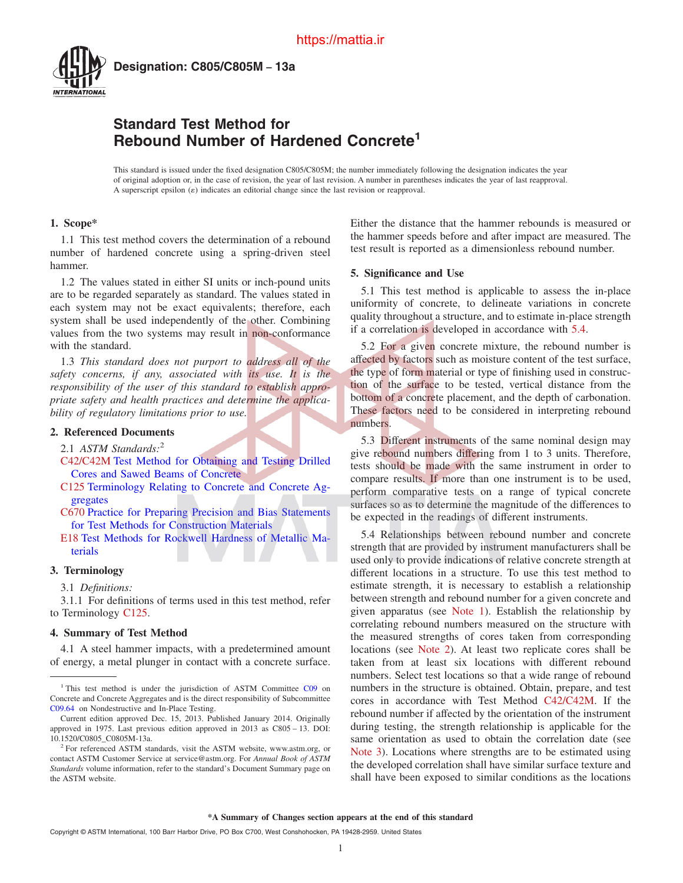<span id="page-0-0"></span>

**Designation: C805/C805M − 13a**

# **Standard Test Method for Rebound Number of Hardened Concrete<sup>1</sup>**

This standard is issued under the fixed designation C805/C805M; the number immediately following the designation indicates the year of original adoption or, in the case of revision, the year of last revision. A number in parentheses indicates the year of last reapproval. A superscript epsilon  $(\varepsilon)$  indicates an editorial change since the last revision or reapproval.

# **1. Scope\***

1.1 This test method covers the determination of a rebound number of hardened concrete using a spring-driven steel hammer.

1.2 The values stated in either SI units or inch-pound units are to be regarded separately as standard. The values stated in each system may not be exact equivalents; therefore, each system shall be used independently of the other. Combining values from the two systems may result in non-conformance with the standard.

1.3 *This standard does not purport to address all of the safety concerns, if any, associated with its use. It is the responsibility of the user of this standard to establish appropriate safety and health practices and determine the applicability of regulatory limitations prior to use.*

# **2. Referenced Documents**

- 2.1 *ASTM Standards:*<sup>2</sup>
- C42/C42M [Test Method for Obtaining and Testing Drilled](http://dx.doi.org/10.1520/C0042_C0042M) [Cores and Sawed Beams of Concrete](http://dx.doi.org/10.1520/C0042_C0042M)
- C125 [Terminology Relating to Concrete and Concrete Ag](http://dx.doi.org/10.1520/C0125)[gregates](http://dx.doi.org/10.1520/C0125)
- [C670](#page-2-0) [Practice for Preparing Precision and Bias Statements](http://dx.doi.org/10.1520/C0670) [for Test Methods for Construction Materials](http://dx.doi.org/10.1520/C0670)
- [E18](#page-1-0) [Test Methods for Rockwell Hardness of Metallic Ma](http://dx.doi.org/10.1520/E0018)[terials](http://dx.doi.org/10.1520/E0018)

# **3. Terminology**

3.1 *Definitions:*

3.1.1 For definitions of terms used in this test method, refer to Terminology C125.

## **4. Summary of Test Method**

4.1 A steel hammer impacts, with a predetermined amount of energy, a metal plunger in contact with a concrete surface. Either the distance that the hammer rebounds is measured or the hammer speeds before and after impact are measured. The test result is reported as a dimensionless rebound number.

### **5. Significance and Use**

5.1 This test method is applicable to assess the in-place uniformity of concrete, to delineate variations in concrete quality throughout a structure, and to estimate in-place strength if a correlation is developed in accordance with 5.4.

5.2 For a given concrete mixture, the rebound number is affected by factors such as moisture content of the test surface, the type of form material or type of finishing used in construction of the surface to be tested, vertical distance from the bottom of a concrete placement, and the depth of carbonation. These factors need to be considered in interpreting rebound numbers.

5.3 Different instruments of the same nominal design may give rebound numbers differing from 1 to 3 units. Therefore, tests should be made with the same instrument in order to compare results. If more than one instrument is to be used, perform comparative tests on a range of typical concrete surfaces so as to determine the magnitude of the differences to be expected in the readings of different instruments.

5.4 Relationships between rebound number and concrete strength that are provided by instrument manufacturers shall be used only to provide indications of relative concrete strength at different locations in a structure. To use this test method to estimate strength, it is necessary to establish a relationship between strength and rebound number for a given concrete and given apparatus (see [Note 1\)](#page-1-0). Establish the relationship by correlating rebound numbers measured on the structure with the measured strengths of cores taken from corresponding locations (see [Note 2\)](#page-1-0). At least two replicate cores shall be taken from at least six locations with different rebound numbers. Select test locations so that a wide range of rebound numbers in the structure is obtained. Obtain, prepare, and test cores in accordance with Test Method C42/C42M. If the rebound number if affected by the orientation of the instrument during testing, the strength relationship is applicable for the same orientation as used to obtain the correlation date (see [Note 3\)](#page-1-0). Locations where strengths are to be estimated using the developed correlation shall have similar surface texture and shall have been exposed to similar conditions as the locations

<sup>&</sup>lt;sup>1</sup> This test method is under the jurisdiction of ASTM Committee [C09](http://www.astm.org/COMMIT/COMMITTEE/C09.htm) on Concrete and Concrete Aggregates and is the direct responsibility of Subcommittee [C09.64](http://www.astm.org/COMMIT/SUBCOMMIT/C0964.htm) on Nondestructive and In-Place Testing.

Current edition approved Dec. 15, 2013. Published January 2014. Originally approved in 1975. Last previous edition approved in 2013 as C805 – 13. DOI: 10.1520/C0805\_C0805M-13a.

<sup>&</sup>lt;sup>2</sup> For referenced ASTM standards, visit the ASTM website, [www.astm.org, or](http://www.astm.org) contact ASTM Customer Service at [service@astm.org. Fo](mailto:service@astm.org)r *Annual Book of ASTM Standards* volume information, refer to the standard's Document Summary page on the ASTM website.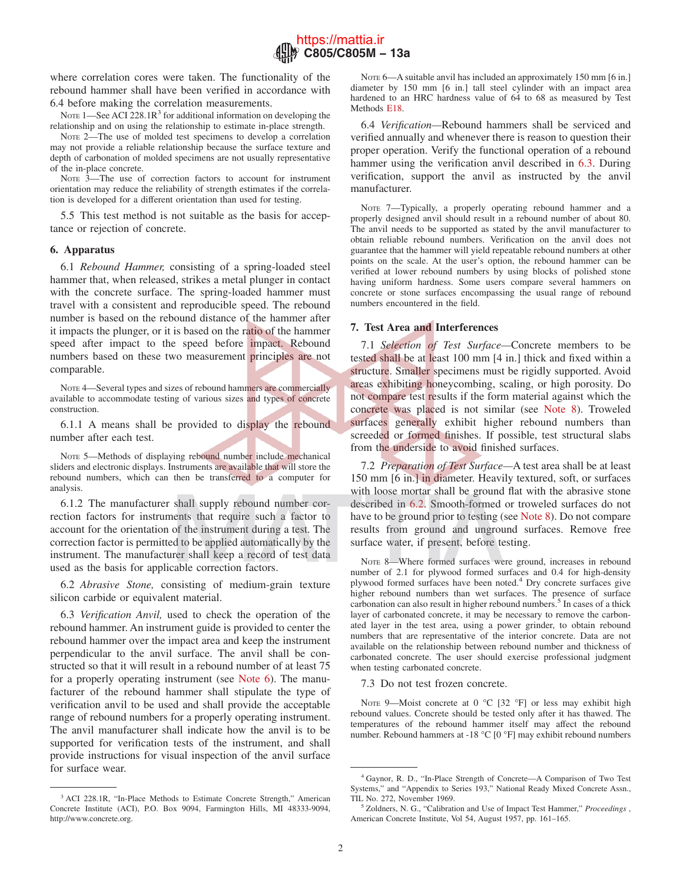

<span id="page-1-0"></span>where correlation cores were taken. The functionality of the rebound hammer shall have been verified in accordance with 6.4 before making the correlation measurements.

NOTE  $1$ —See ACI 228.1R<sup>3</sup> for additional information on developing the relationship and on using the relationship to estimate in-place strength.

NOTE 2—The use of molded test specimens to develop a correlation may not provide a reliable relationship because the surface texture and depth of carbonation of molded specimens are not usually representative of the in-place concrete.

NOTE 3—The use of correction factors to account for instrument orientation may reduce the reliability of strength estimates if the correlation is developed for a different orientation than used for testing.

5.5 This test method is not suitable as the basis for acceptance or rejection of concrete.

## **6. Apparatus**

6.1 *Rebound Hammer,* consisting of a spring-loaded steel hammer that, when released, strikes a metal plunger in contact with the concrete surface. The spring-loaded hammer must travel with a consistent and reproducible speed. The rebound number is based on the rebound distance of the hammer after it impacts the plunger, or it is based on the ratio of the hammer speed after impact to the speed before impact. Rebound numbers based on these two measurement principles are not comparable.

NOTE 4—Several types and sizes of rebound hammers are commercially available to accommodate testing of various sizes and types of concrete construction.

6.1.1 A means shall be provided to display the rebound number after each test.

NOTE 5—Methods of displaying rebound number include mechanical sliders and electronic displays. Instruments are available that will store the rebound numbers, which can then be transferred to a computer for analysis.

6.1.2 The manufacturer shall supply rebound number correction factors for instruments that require such a factor to account for the orientation of the instrument during a test. The correction factor is permitted to be applied automatically by the instrument. The manufacturer shall keep a record of test data used as the basis for applicable correction factors.

6.2 *Abrasive Stone,* consisting of medium-grain texture silicon carbide or equivalent material.

6.3 *Verification Anvil,* used to check the operation of the rebound hammer. An instrument guide is provided to center the rebound hammer over the impact area and keep the instrument perpendicular to the anvil surface. The anvil shall be constructed so that it will result in a rebound number of at least 75 for a properly operating instrument (see Note 6). The manufacturer of the rebound hammer shall stipulate the type of verification anvil to be used and shall provide the acceptable range of rebound numbers for a properly operating instrument. The anvil manufacturer shall indicate how the anvil is to be supported for verification tests of the instrument, and shall provide instructions for visual inspection of the anvil surface for surface wear.

NOTE 6—A suitable anvil has included an approximately 150 mm [6 in.] diameter by 150 mm [6 in.] tall steel cylinder with an impact area hardened to an HRC hardness value of 64 to 68 as measured by Test Methods [E18.](#page-0-0)

6.4 *Verification—*Rebound hammers shall be serviced and verified annually and whenever there is reason to question their proper operation. Verify the functional operation of a rebound hammer using the verification anvil described in 6.3. During verification, support the anvil as instructed by the anvil manufacturer.

NOTE 7—Typically, a properly operating rebound hammer and a properly designed anvil should result in a rebound number of about 80. The anvil needs to be supported as stated by the anvil manufacturer to obtain reliable rebound numbers. Verification on the anvil does not guarantee that the hammer will yield repeatable rebound numbers at other points on the scale. At the user's option, the rebound hammer can be verified at lower rebound numbers by using blocks of polished stone having uniform hardness. Some users compare several hammers on concrete or stone surfaces encompassing the usual range of rebound numbers encountered in the field.

# **7. Test Area and Interferences**

7.1 *Selection of Test Surface—*Concrete members to be tested shall be at least 100 mm [4 in.] thick and fixed within a structure. Smaller specimens must be rigidly supported. Avoid areas exhibiting honeycombing, scaling, or high porosity. Do not compare test results if the form material against which the concrete was placed is not similar (see Note 8). Troweled surfaces generally exhibit higher rebound numbers than screeded or formed finishes. If possible, test structural slabs from the underside to avoid finished surfaces.

7.2 *Preparation of Test Surface—*A test area shall be at least 150 mm [6 in.] in diameter. Heavily textured, soft, or surfaces with loose mortar shall be ground flat with the abrasive stone described in 6.2. Smooth-formed or troweled surfaces do not have to be ground prior to testing (see Note 8). Do not compare results from ground and unground surfaces. Remove free surface water, if present, before testing.

NOTE 8—Where formed surfaces were ground, increases in rebound number of 2.1 for plywood formed surfaces and 0.4 for high-density plywood formed surfaces have been noted.4 Dry concrete surfaces give higher rebound numbers than wet surfaces. The presence of surface carbonation can also result in higher rebound numbers.<sup>5</sup> In cases of a thick layer of carbonated concrete, it may be necessary to remove the carbonated layer in the test area, using a power grinder, to obtain rebound numbers that are representative of the interior concrete. Data are not available on the relationship between rebound number and thickness of carbonated concrete. The user should exercise professional judgment when testing carbonated concrete.

7.3 Do not test frozen concrete.

NOTE 9—Moist concrete at 0  $^{\circ}$ C [32  $^{\circ}$ F] or less may exhibit high rebound values. Concrete should be tested only after it has thawed. The temperatures of the rebound hammer itself may affect the rebound number. Rebound hammers at -18 °C [0 °F] may exhibit rebound numbers

<sup>3</sup> ACI 228.1R, "In-Place Methods to Estimate Concrete Strength," American Concrete Institute (ACI), P.O. Box 9094, Farmington Hills, MI 48333-9094, [http://www.concrete.org.](http://www.concrete.org)

<sup>4</sup> Gaynor, R. D., "In-Place Strength of Concrete—A Comparison of Two Test Systems," and "Appendix to Series 193," National Ready Mixed Concrete Assn., TIL No. 272, November 1969.

<sup>5</sup> Zoldners, N. G., "Calibration and Use of Impact Test Hammer," *Proceedings* , American Concrete Institute, Vol 54, August 1957, pp. 161–165.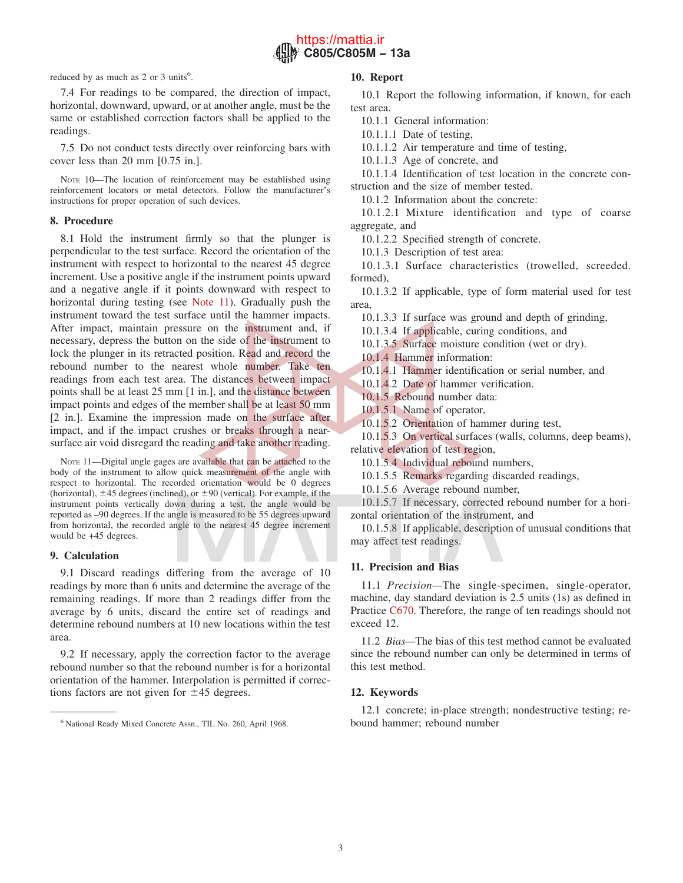

<span id="page-2-0"></span>reduced by as much as  $2$  or  $3$  units<sup>6</sup>.

# 7.4 For readings to be compared, the direction of impact, horizontal, downward, upward, or at another angle, must be the same or established correction factors shall be applied to the readings.

7.5 Do not conduct tests directly over reinforcing bars with cover less than 20 mm [0.75 in.].

NOTE 10—The location of reinforcement may be established using reinforcement locators or metal detectors. Follow the manufacturer's instructions for proper operation of such devices.

# **8. Procedure**

8.1 Hold the instrument firmly so that the plunger is perpendicular to the test surface. Record the orientation of the instrument with respect to horizontal to the nearest 45 degree increment. Use a positive angle if the instrument points upward and a negative angle if it points downward with respect to horizontal during testing (see Note 11). Gradually push the instrument toward the test surface until the hammer impacts. After impact, maintain pressure on the instrument and, if necessary, depress the button on the side of the instrument to lock the plunger in its retracted position. Read and record the rebound number to the nearest whole number. Take ten readings from each test area. The distances between impact points shall be at least 25 mm [1 in.], and the distance between impact points and edges of the member shall be at least 50 mm [2 in.]. Examine the impression made on the surface after impact, and if the impact crushes or breaks through a nearsurface air void disregard the reading and take another reading.

NOTE 11—Digital angle gages are available that can be attached to the body of the instrument to allow quick measurement of the angle with respect to horizontal. The recorded orientation would be 0 degrees (horizontal),  $\pm 45$  degrees (inclined), or  $\pm 90$  (vertical). For example, if the instrument points vertically down during a test, the angle would be reported as –90 degrees. If the angle is measured to be 55 degrees upward from horizontal, the recorded angle to the nearest 45 degree increment would be +45 degrees.

## **9. Calculation**

9.1 Discard readings differing from the average of 10 readings by more than 6 units and determine the average of the remaining readings. If more than 2 readings differ from the average by 6 units, discard the entire set of readings and determine rebound numbers at 10 new locations within the test area.

9.2 If necessary, apply the correction factor to the average rebound number so that the rebound number is for a horizontal orientation of the hammer. Interpolation is permitted if corrections factors are not given for  $\pm 45$  degrees.

## **10. Report**

10.1 Report the following information, if known, for each test area.

10.1.1 General information:

10.1.1.1 Date of testing,

10.1.1.2 Air temperature and time of testing,

10.1.1.3 Age of concrete, and

10.1.1.4 Identification of test location in the concrete construction and the size of member tested.

10.1.2 Information about the concrete:

10.1.2.1 Mixture identification and type of coarse aggregate, and

10.1.2.2 Specified strength of concrete.

10.1.3 Description of test area:

10.1.3.1 Surface characteristics (trowelled, screeded. formed),

10.1.3.2 If applicable, type of form material used for test area,

10.1.3.3 If surface was ground and depth of grinding,

10.1.3.4 If applicable, curing conditions, and

10.1.3.5 Surface moisture condition (wet or dry).

10.1.4 Hammer information:

10.1.4.1 Hammer identification or serial number, and

10.1.4.2 Date of hammer verification.

10.1.5 Rebound number data:

10.1.5.1 Name of operator,

10.1.5.2 Orientation of hammer during test,

10.1.5.3 On vertical surfaces (walls, columns, deep beams), relative elevation of test region,

10.1.5.4 Individual rebound numbers,

10.1.5.5 Remarks regarding discarded readings,

10.1.5.6 Average rebound number,

10.1.5.7 If necessary, corrected rebound number for a horizontal orientation of the instrument, and

10.1.5.8 If applicable, description of unusual conditions that may affect test readings.

## **11. Precision and Bias**

11.1 *Precision—*The single-specimen, single-operator, machine, day standard deviation is 2.5 units (1s) as defined in Practice [C670.](#page-0-0) Therefore, the range of ten readings should not exceed 12.

11.2 *Bias—*The bias of this test method cannot be evaluated since the rebound number can only be determined in terms of this test method.

## **12. Keywords**

12.1 concrete; in-place strength; nondestructive testing; re-

<sup>&</sup>lt;sup>6</sup> National Ready Mixed Concrete Assn., TIL No. 260, April 1968. bound hammer; rebound number